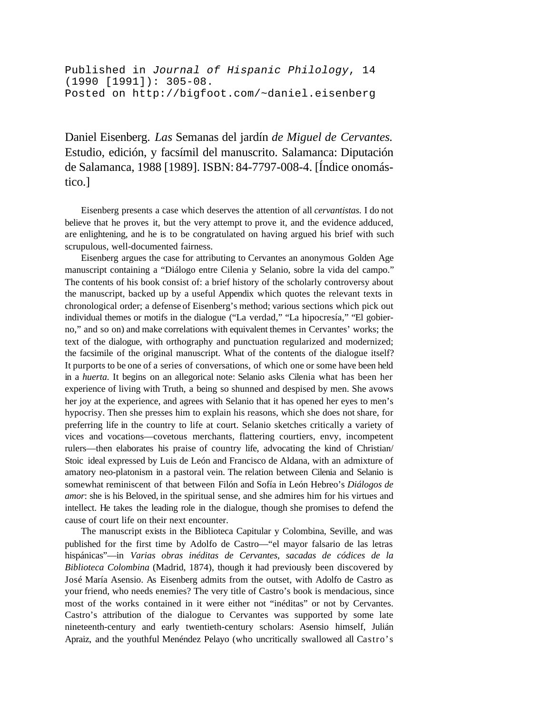Published in *Journal of Hispanic Philology*, 14 (1990 [1991]): 305-08. Posted on http://bigfoot.com/~daniel.eisenberg

Daniel Eisenberg. *Las* Semanas del jardín *de Miguel de Cervantes.* Estudio, edición, y facsímil del manuscrito. Salamanca: Diputación de Salamanca, 1988 [1989]. ISBN: 84-7797-008-4. [Índice onomástico.]

Eisenberg presents a case which deserves the attention of all *cervantistas.* I do not believe that he proves it, but the very attempt to prove it, and the evidence adduced, are enlightening, and he is to be congratulated on having argued his brief with such scrupulous, well-documented fairness.

Eisenberg argues the case for attributing to Cervantes an anonymous Golden Age manuscript containing a "Diálogo entre Cilenia y Selanio, sobre la vida del campo." The contents of his book consist of: a brief history of the scholarly controversy about the manuscript, backed up by a useful Appendix which quotes the relevant texts in chronological order; a defense of Eisenberg's method; various sections which pick out individual themes or motifs in the dialogue ("La verdad," "La hipocresía," "El gobierno," and so on) and make correlations with equivalent themes in Cervantes' works; the text of the dialogue, with orthography and punctuation regularized and modernized; the facsimile of the original manuscript. What of the contents of the dialogue itself? It purports to be one of a series of conversations, of which one or some have been held in a *huerta.* It begins on an allegorical note: Selanio asks Cilenia what has been her experience of living with Truth, a being so shunned and despised by men. She avows her joy at the experience, and agrees with Selanio that it has opened her eyes to men's hypocrisy. Then she presses him to explain his reasons, which she does not share, for preferring life in the country to life at court. Selanio sketches critically a variety of vices and vocations—covetous merchants, flattering courtiers, envy, incompetent rulers—then elaborates his praise of country life, advocating the kind of Christian/ Stoic ideal expressed by Luis de León and Francisco de Aldana, with an admixture of amatory neo-platonism in a pastoral vein. The relation between Cilenia and Selanio is somewhat reminiscent of that between Filón and Sofía in León Hebreo's *Diálogos de amor*: she is his Beloved, in the spiritual sense, and she admires him for his virtues and intellect. He takes the leading role in the dialogue, though she promises to defend the cause of court life on their next encounter.

The manuscript exists in the Biblioteca Capitular y Colombina, Seville, and was published for the first time by Adolfo de Castro—"el mayor falsario de las letras hispánicas"—in *Varias obras inéditas de Cervantes, sacadas de códices de la Biblioteca Colombina* (Madrid, 1874), though it had previously been discovered by José María Asensio. As Eisenberg admits from the outset, with Adolfo de Castro as your friend, who needs enemies? The very title of Castro's book is mendacious, since most of the works contained in it were either not "inéditas" or not by Cervantes. Castro's attribution of the dialogue to Cervantes was supported by some late nineteenth-century and early twentieth-century scholars: Asensio himself, Julián Apraiz, and the youthful Menéndez Pelayo (who uncritically swallowed all Castro's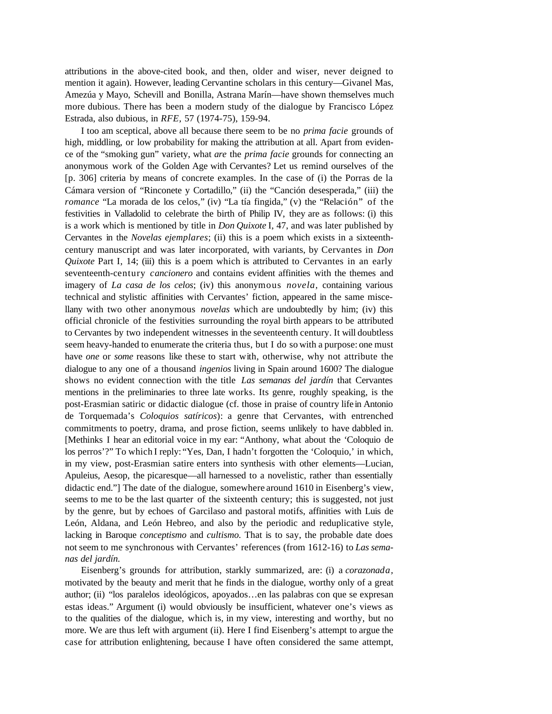attributions in the above-cited book, and then, older and wiser, never deigned to mention it again). However, leading Cervantine scholars in this century—Givanel Mas, Amezúa y Mayo, Schevill and Bonilla, Astrana Marín—have shown themselves much more dubious. There has been a modern study of the dialogue by Francisco López Estrada, also dubious, in *RFE,* 57 (1974-75), 159-94.

I too am sceptical, above all because there seem to be no *prima facie* grounds of high, middling, or low probability for making the attribution at all. Apart from evidence of the "smoking gun" variety, what *are* the *prima facie* grounds for connecting an anonymous work of the Golden Age with Cervantes? Let us remind ourselves of the [p. 306] criteria by means of concrete examples. In the case of (i) the Porras de la Cámara version of "Rinconete y Cortadillo," (ii) the "Canción desesperada," (iii) the *romance* "La morada de los celos," (iv) "La tía fingida," (v) the "Relación" of the festivities in Valladolid to celebrate the birth of Philip IV, they are as follows: (i) this is a work which is mentioned by title in *Don Quixote* I, 47, and was later published by Cervantes in the *Novelas ejemplares*; (ii) this is a poem which exists in a sixteenthcentury manuscript and was later incorporated, with variants, by Cervantes in *Don Quixote* Part I, 14; (iii) this is a poem which is attributed to Cervantes in an early seventeenth-century *cancionero* and contains evident affinities with the themes and imagery of *La casa de los celos*; (iv) this anonymous *novela,* containing various technical and stylistic affinities with Cervantes' fiction, appeared in the same miscellany with two other anonymous *novelas* which are undoubtedly by him; (iv) this official chronicle of the festivities surrounding the royal birth appears to be attributed to Cervantes by two independent witnesses in the seventeenth century. It will doubtless seem heavy-handed to enumerate the criteria thus, but I do so with a purpose: one must have *one* or *some* reasons like these to start with, otherwise, why not attribute the dialogue to any one of a thousand *ingenios* living in Spain around 1600? The dialogue shows no evident connection with the title *Las semanas del jardín* that Cervantes mentions in the preliminaries to three late works. Its genre, roughly speaking, is the post-Erasmian satiric or didactic dialogue (cf. those in praise of country life in Antonio de Torquemada's *Coloquios satíricos*): a genre that Cervantes, with entrenched commitments to poetry, drama, and prose fiction, seems unlikely to have dabbled in. [Methinks I hear an editorial voice in my ear: "Anthony, what about the 'Coloquio de los perros'?" To which I reply: "Yes, Dan, I hadn't forgotten the 'Coloquio,' in which, in my view, post-Erasmian satire enters into synthesis with other elements—Lucian, Apuleius, Aesop, the picaresque—all harnessed to a novelistic, rather than essentially didactic end."] The date of the dialogue, somewhere around 1610 in Eisenberg's view, seems to me to be the last quarter of the sixteenth century; this is suggested, not just by the genre, but by echoes of Garcilaso and pastoral motifs, affinities with Luis de León, Aldana, and León Hebreo, and also by the periodic and reduplicative style, lacking in Baroque *conceptismo* and *cultismo.* That is to say, the probable date does not seem to me synchronous with Cervantes' references (from 1612-16) to *Las semanas del jardín.*

Eisenberg's grounds for attribution, starkly summarized, are: (i) a *corazonada,* motivated by the beauty and merit that he finds in the dialogue, worthy only of a great author; (ii) "los paralelos ideológicos, apoyados…en las palabras con que se expresan estas ideas." Argument (i) would obviously be insufficient, whatever one's views as to the qualities of the dialogue, which is, in my view, interesting and worthy, but no more. We are thus left with argument (ii). Here I find Eisenberg's attempt to argue the case for attribution enlightening, because I have often considered the same attempt,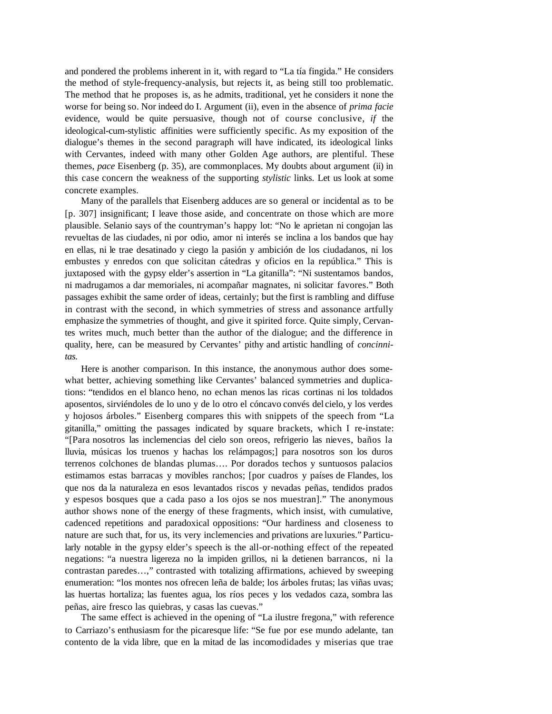and pondered the problems inherent in it, with regard to "La tía fingida." He considers the method of style-frequency-analysis, but rejects it, as being still too problematic. The method that he proposes is, as he admits, traditional, yet he considers it none the worse for being so. Nor indeed do I. Argument (ii), even in the absence of *prima facie* evidence, would be quite persuasive, though not of course conclusive, *if* the ideological-cum-stylistic affinities were sufficiently specific. As my exposition of the dialogue's themes in the second paragraph will have indicated, its ideological links with Cervantes, indeed with many other Golden Age authors, are plentiful. These themes, *pace* Eisenberg (p. 35), are commonplaces. My doubts about argument (ii) in this case concern the weakness of the supporting *stylistic* links. Let us look at some concrete examples.

Many of the parallels that Eisenberg adduces are so general or incidental as to be [p. 307] insignificant; I leave those aside, and concentrate on those which are more plausible. Selanio says of the countryman's happy lot: "No le aprietan ni congojan las revueltas de las ciudades, ni por odio, amor ni interés se inclina a los bandos que hay en ellas, ni le trae desatinado y ciego la pasión y ambición de los ciudadanos, ni los embustes y enredos con que solicitan cátedras y oficios en la república." This is juxtaposed with the gypsy elder's assertion in "La gitanilla": "Ni sustentamos bandos, ni madrugamos a dar memoriales, ni acompañar magnates, ni solicitar favores." Both passages exhibit the same order of ideas, certainly; but the first is rambling and diffuse in contrast with the second, in which symmetries of stress and assonance artfully emphasize the symmetries of thought, and give it spirited force. Quite simply, Cervantes writes much, much better than the author of the dialogue; and the difference in quality, here, can be measured by Cervantes' pithy and artistic handling of *concinnitas.*

Here is another comparison. In this instance, the anonymous author does somewhat better, achieving something like Cervantes' balanced symmetries and duplications: "tendidos en el blanco heno, no echan menos las ricas cortinas ni los toldados aposentos, sirviéndoles de lo uno y de lo otro el cóncavo convés del cielo, y los verdes y hojosos árboles." Eisenberg compares this with snippets of the speech from "La gitanilla," omitting the passages indicated by square brackets, which I re-instate: "[Para nosotros las inclemencias del cielo son oreos, refrigerio las nieves, baños la lluvia, músicas los truenos y hachas los relámpagos;] para nosotros son los duros terrenos colchones de blandas plumas…. Por dorados techos y suntuosos palacios estimamos estas barracas y movibles ranchos; [por cuadros y países de Flandes, los que nos da la naturaleza en esos levantados riscos y nevadas peñas, tendidos prados y espesos bosques que a cada paso a los ojos se nos muestran]." The anonymous author shows none of the energy of these fragments, which insist, with cumulative, cadenced repetitions and paradoxical oppositions: "Our hardiness and closeness to nature are such that, for us, its very inclemencies and privations are luxuries." Particularly notable in the gypsy elder's speech is the all-or-nothing effect of the repeated negations: "a nuestra ligereza no la impiden grillos, ni la detienen barrancos, ni la contrastan paredes…," contrasted with totalizing affirmations, achieved by sweeping enumeration: "los montes nos ofrecen leña de balde; los árboles frutas; las viñas uvas; las huertas hortaliza; las fuentes agua, los ríos peces y los vedados caza, sombra las peñas, aire fresco las quiebras, y casas las cuevas."

The same effect is achieved in the opening of "La ilustre fregona," with reference to Carriazo's enthusiasm for the picaresque life: "Se fue por ese mundo adelante, tan contento de la vida libre, que en la mitad de las incomodidades y miserias que trae